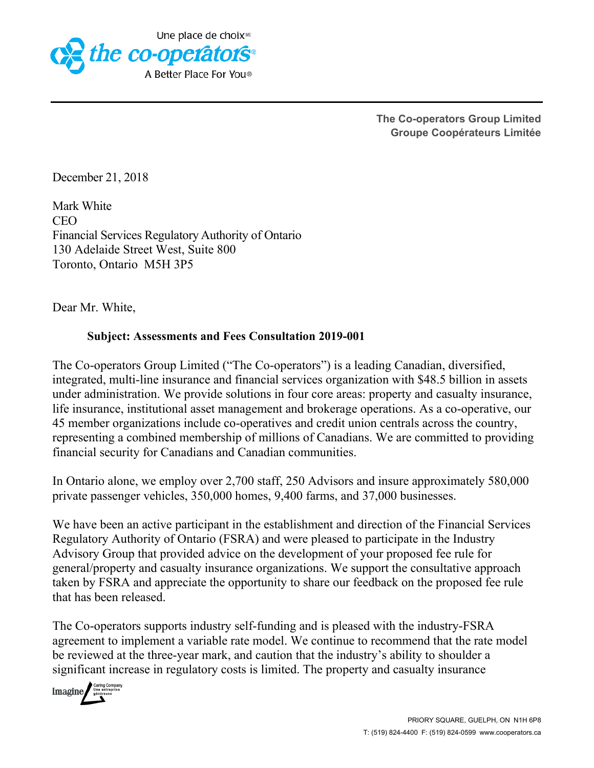

**The Co-operators Group Limited Groupe Coopérateurs Limitée**

December 21, 2018

Mark White CEO Financial Services Regulatory Authority of Ontario 130 Adelaide Street West, Suite 800 Toronto, Ontario M5H 3P5

Dear Mr. White,

## **Subject: Assessments and Fees Consultation 2019-001**

The Co-operators Group Limited ("The Co-operators") is a leading Canadian, diversified, integrated, multi-line insurance and financial services organization with \$48.5 billion in assets under administration. We provide solutions in four core areas: property and casualty insurance, life insurance, institutional asset management and brokerage operations. As a co-operative, our 45 member organizations include co-operatives and credit union centrals across the country, representing a combined membership of millions of Canadians. We are committed to providing financial security for Canadians and Canadian communities.

In Ontario alone, we employ over 2,700 staff, 250 Advisors and insure approximately 580,000 private passenger vehicles, 350,000 homes, 9,400 farms, and 37,000 businesses.

We have been an active participant in the establishment and direction of the Financial Services Regulatory Authority of Ontario (FSRA) and were pleased to participate in the Industry Advisory Group that provided advice on the development of your proposed fee rule for general/property and casualty insurance organizations. We support the consultative approach taken by FSRA and appreciate the opportunity to share our feedback on the proposed fee rule that has been released.

The Co-operators supports industry self-funding and is pleased with the industry-FSRA agreement to implement a variable rate model. We continue to recommend that the rate model be reviewed at the three-year mark, and caution that the industry's ability to shoulder a significant increase in regulatory costs is limited. The property and casualty insurance